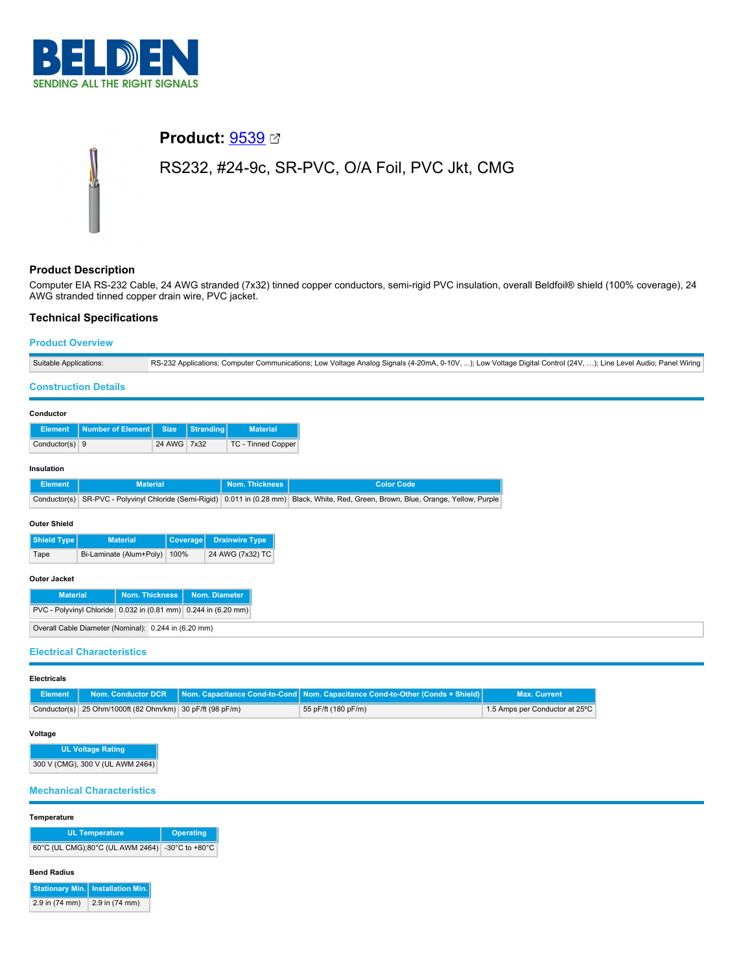

# **Product:** [9539](https://catalog.belden.com/index.cfm?event=pd&p=PF_9539&tab=downloads) RS232, #24-9c, SR-PVC, O/A Foil, PVC Jkt, CMG

# **Product Description**

Computer EIA RS-232 Cable, 24 AWG stranded (7x32) tinned copper conductors, semi-rigid PVC insulation, overall Beldfoil® shield (100% coverage), 24 AWG stranded tinned copper drain wire, PVC jacket.

# **Technical Specifications**

## **Product Overview**

| Suitable Applications:            |                                                                |                 |               |                       | RS-232 Applications; Computer Communications; Low Voltage Analog Signals (4-20mA, 0-10V, ); Low Voltage Digital Control (24V, ); Line Level Audio; Panel Wiring |  |
|-----------------------------------|----------------------------------------------------------------|-----------------|---------------|-----------------------|-----------------------------------------------------------------------------------------------------------------------------------------------------------------|--|
| <b>Construction Details</b>       |                                                                |                 |               |                       |                                                                                                                                                                 |  |
| Conductor                         |                                                                |                 |               |                       |                                                                                                                                                                 |  |
| <b>Element</b>                    | <b>Number of Element</b>                                       | <b>Size</b>     | Stranding     | <b>Material</b>       |                                                                                                                                                                 |  |
| Conductor(s) $9$                  |                                                                | 24 AWG 7x32     |               | TC - Tinned Copper    |                                                                                                                                                                 |  |
| Insulation                        |                                                                |                 |               |                       |                                                                                                                                                                 |  |
| <b>Element</b>                    | <b>Material</b>                                                |                 |               | Nom. Thickness        | <b>Color Code</b>                                                                                                                                               |  |
| Conductor(s)                      | SR-PVC - Polyvinyl Chloride (Semi-Rigid)                       |                 |               |                       | 0.011 in (0.28 mm) Black, White, Red, Green, Brown, Blue, Orange, Yellow, Purple                                                                                |  |
| <b>Outer Shield</b>               |                                                                |                 |               |                       |                                                                                                                                                                 |  |
| Shield Type                       | <b>Material</b>                                                | <b>Coverage</b> |               | <b>Drainwire Type</b> |                                                                                                                                                                 |  |
| Tape                              | Bi-Laminate (Alum+Poly)                                        | 100%            |               | 24 AWG (7x32) TC      |                                                                                                                                                                 |  |
| Outer Jacket                      |                                                                |                 |               |                       |                                                                                                                                                                 |  |
| <b>Material</b>                   | <b>Nom. Thickness</b>                                          |                 | Nom. Diameter |                       |                                                                                                                                                                 |  |
|                                   | PVC - Polyvinyl Chloride 0.032 in (0.81 mm) 0.244 in (6.20 mm) |                 |               |                       |                                                                                                                                                                 |  |
|                                   | Overall Cable Diameter (Nominal): 0.244 in (6.20 mm)           |                 |               |                       |                                                                                                                                                                 |  |
| <b>Electrical Characteristics</b> |                                                                |                 |               |                       |                                                                                                                                                                 |  |

**Electricals**

|                                                           | Element Nom. Conductor DCR Nom. Capacitance Cond-to-Cond Nom. Capacitance Cond-to-Other (Conds + Shield) | <b>Max. Current</b>            |
|-----------------------------------------------------------|----------------------------------------------------------------------------------------------------------|--------------------------------|
| Conductor(s) 25 Ohm/1000ft (82 Ohm/km) 30 pF/ft (98 pF/m) | 55 pF/ft (180 pF/m)                                                                                      | 1.5 Amps per Conductor at 25°C |

# **Voltage**

**UL Voltage Rating** 300 V (CMG), 300 V (UL AWM 2464)

## **Mechanical Characteristics**

## **Temperature**

| <b>UL Temperature</b>                             | Operating |  |
|---------------------------------------------------|-----------|--|
| 60°C (UL CMG);80°C (UL AWM 2464)   -30°C to +80°C |           |  |

#### **Bend Radius**

|                | <b>Stationary Min.</b> Installation Min. |
|----------------|------------------------------------------|
| 2.9 in (74 mm) | 2.9 in (74 mm)                           |